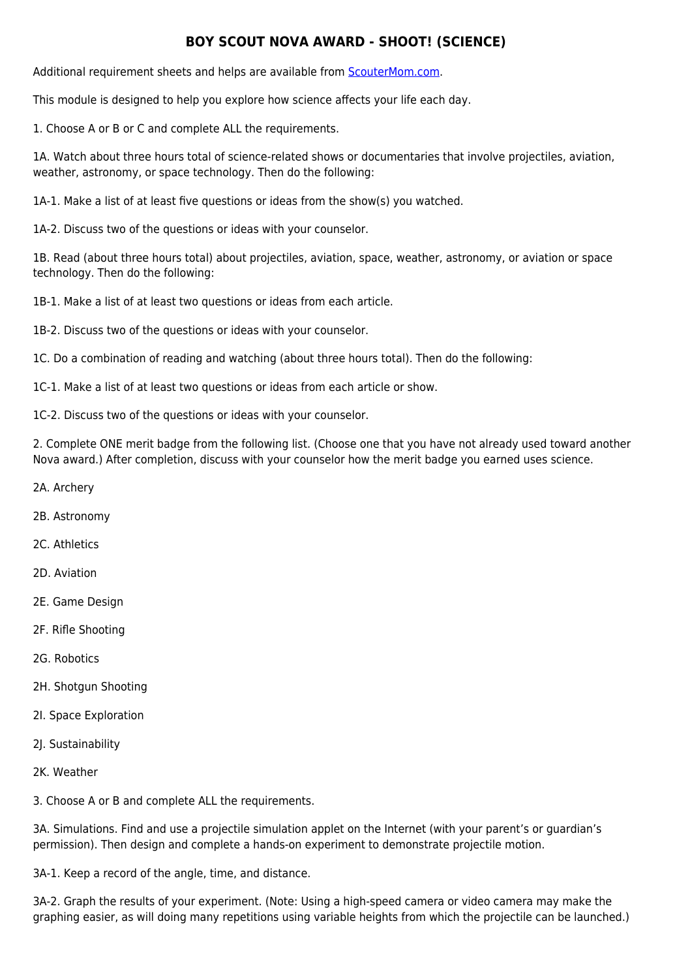## **BOY SCOUT NOVA AWARD - SHOOT! (SCIENCE)**

Additional requirement sheets and helps are available from [ScouterMom.com](http://scoutermom.com).

This module is designed to help you explore how science affects your life each day.

1. Choose A or B or C and complete ALL the requirements.

1A. Watch about three hours total of science-related shows or documentaries that involve projectiles, aviation, weather, astronomy, or space technology. Then do the following:

1A-1. Make a list of at least five questions or ideas from the show(s) you watched.

1A-2. Discuss two of the questions or ideas with your counselor.

1B. Read (about three hours total) about projectiles, aviation, space, weather, astronomy, or aviation or space technology. Then do the following:

1B-1. Make a list of at least two questions or ideas from each article.

1B-2. Discuss two of the questions or ideas with your counselor.

1C. Do a combination of reading and watching (about three hours total). Then do the following:

1C-1. Make a list of at least two questions or ideas from each article or show.

1C-2. Discuss two of the questions or ideas with your counselor.

2. Complete ONE merit badge from the following list. (Choose one that you have not already used toward another Nova award.) After completion, discuss with your counselor how the merit badge you earned uses science.

- 2A. Archery
- 2B. Astronomy
- 2C. Athletics
- 2D. Aviation
- 2E. Game Design
- 2F. Rifle Shooting
- 2G. Robotics
- 2H. Shotgun Shooting
- 2I. Space Exploration
- 2J. Sustainability
- 2K. Weather

3. Choose A or B and complete ALL the requirements.

3A. Simulations. Find and use a projectile simulation applet on the Internet (with your parent's or guardian's permission). Then design and complete a hands-on experiment to demonstrate projectile motion.

3A-1. Keep a record of the angle, time, and distance.

3A-2. Graph the results of your experiment. (Note: Using a high-speed camera or video camera may make the graphing easier, as will doing many repetitions using variable heights from which the projectile can be launched.)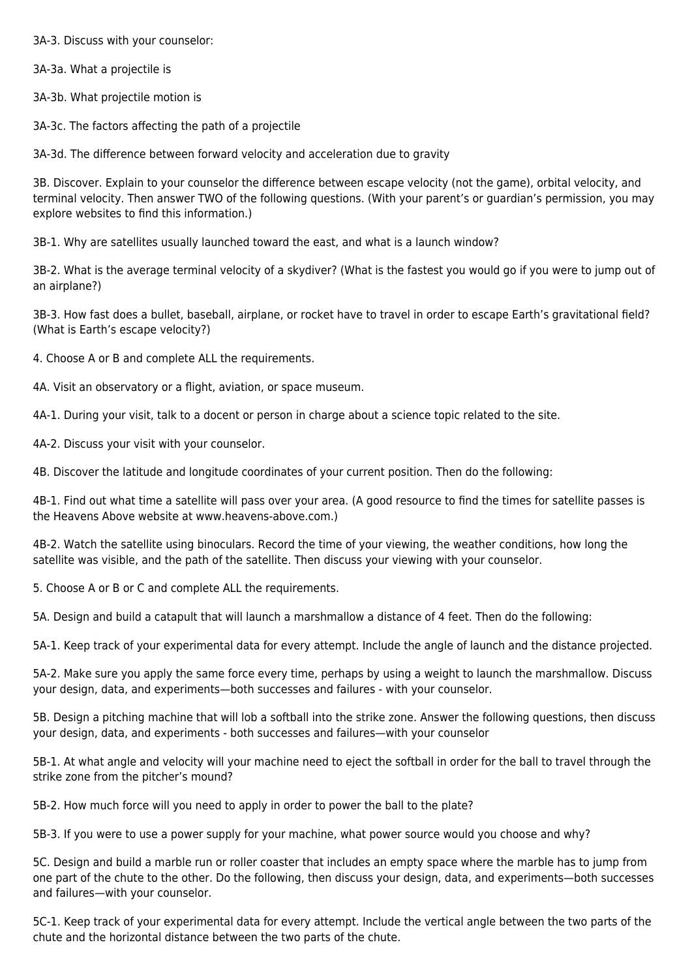3A-3. Discuss with your counselor:

3A-3a. What a projectile is

3A-3b. What projectile motion is

3A-3c. The factors affecting the path of a projectile

3A-3d. The difference between forward velocity and acceleration due to gravity

3B. Discover. Explain to your counselor the difference between escape velocity (not the game), orbital velocity, and terminal velocity. Then answer TWO of the following questions. (With your parent's or guardian's permission, you may explore websites to find this information.)

3B-1. Why are satellites usually launched toward the east, and what is a launch window?

3B-2. What is the average terminal velocity of a skydiver? (What is the fastest you would go if you were to jump out of an airplane?)

3B-3. How fast does a bullet, baseball, airplane, or rocket have to travel in order to escape Earth's gravitational field? (What is Earth's escape velocity?)

4. Choose A or B and complete ALL the requirements.

4A. Visit an observatory or a flight, aviation, or space museum.

4A-1. During your visit, talk to a docent or person in charge about a science topic related to the site.

4A-2. Discuss your visit with your counselor.

4B. Discover the latitude and longitude coordinates of your current position. Then do the following:

4B-1. Find out what time a satellite will pass over your area. (A good resource to find the times for satellite passes is the Heavens Above website at www.heavens-above.com.)

4B-2. Watch the satellite using binoculars. Record the time of your viewing, the weather conditions, how long the satellite was visible, and the path of the satellite. Then discuss your viewing with your counselor.

5. Choose A or B or C and complete ALL the requirements.

5A. Design and build a catapult that will launch a marshmallow a distance of 4 feet. Then do the following:

5A-1. Keep track of your experimental data for every attempt. Include the angle of launch and the distance projected.

5A-2. Make sure you apply the same force every time, perhaps by using a weight to launch the marshmallow. Discuss your design, data, and experiments—both successes and failures - with your counselor.

5B. Design a pitching machine that will lob a softball into the strike zone. Answer the following questions, then discuss your design, data, and experiments - both successes and failures—with your counselor

5B-1. At what angle and velocity will your machine need to eject the softball in order for the ball to travel through the strike zone from the pitcher's mound?

5B-2. How much force will you need to apply in order to power the ball to the plate?

5B-3. If you were to use a power supply for your machine, what power source would you choose and why?

5C. Design and build a marble run or roller coaster that includes an empty space where the marble has to jump from one part of the chute to the other. Do the following, then discuss your design, data, and experiments—both successes and failures—with your counselor.

5C-1. Keep track of your experimental data for every attempt. Include the vertical angle between the two parts of the chute and the horizontal distance between the two parts of the chute.